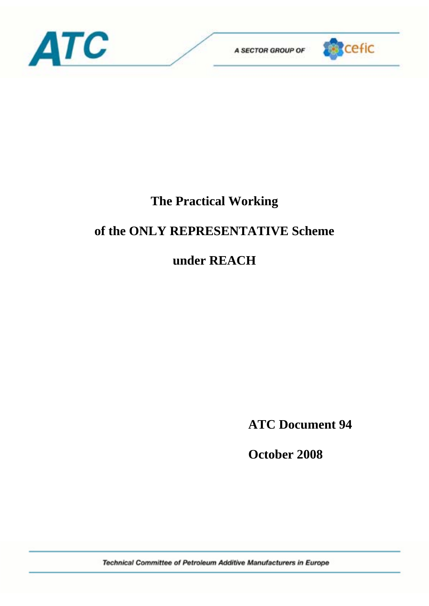



# **The Practical Working**

# **of the ONLY REPRESENTATIVE Scheme**

# **under REACH**

**ATC Document 94** 

 **October 2008** 

Technical Committee of Petroleum Additive Manufacturers in Europe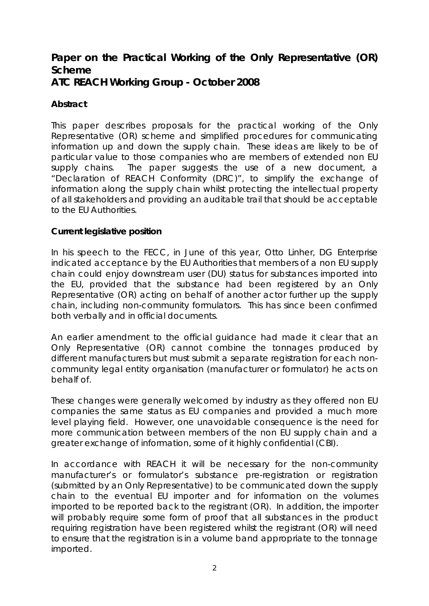# **Paper on the Practical Working of the Only Representative (OR) Scheme ATC REACH Working Group - October 2008**

## **Abstract**

This paper describes proposals for the practical working of the Only Representative (OR) scheme and simplified procedures for communicating information up and down the supply chain. These ideas are likely to be of particular value to those companies who are members of extended non EU supply chains. The paper suggests the use of a new document, a "Declaration of REACH Conformity (DRC)", to simplify the exchange of information along the supply chain whilst protecting the intellectual property of all stakeholders and providing an auditable trail that should be acceptable to the EU Authorities.

## **Current legislative position**

In his speech to the FECC, in June of this year, Otto Linher, DG Enterprise indicated acceptance by the EU Authorities that members of a non EU supply chain could enjoy downstream user (DU) status for substances imported into the EU, provided that the substance had been registered by an Only Representative (OR) acting on behalf of another actor further up the supply chain, including non-community formulators. This has since been confirmed both verbally and in official documents.

An earlier amendment to the official guidance had made it clear that an Only Representative (OR) cannot combine the tonnages produced by different manufacturers but must submit a separate registration for each noncommunity legal entity organisation (manufacturer or formulator) he acts on behalf of.

These changes were generally welcomed by industry as they offered non EU companies the same status as EU companies and provided a much more level playing field. However, one unavoidable consequence is the need for more communication between members of the non EU supply chain and a greater exchange of information, some of it highly confidential (CBI).

In accordance with REACH it will be necessary for the non-community manufacturer's or formulator's substance pre-registration or registration (submitted by an Only Representative) to be communicated down the supply chain to the eventual EU importer and for information on the volumes imported to be reported back to the registrant (OR). In addition, the importer will probably require some form of proof that all substances in the product requiring registration have been registered whilst the registrant (OR) will need to ensure that the registration is in a volume band appropriate to the tonnage imported.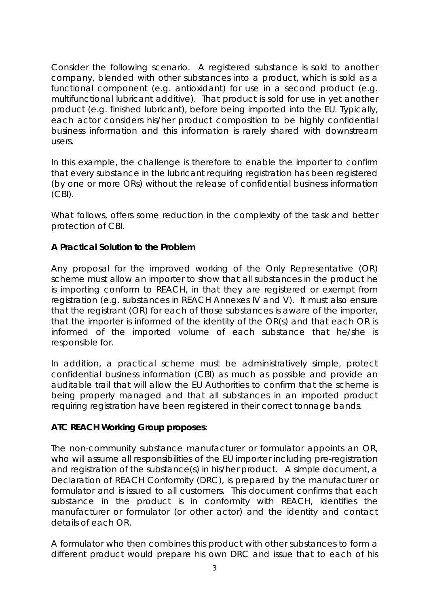Consider the following scenario. A registered substance is sold to another company, blended with other substances into a product, which is sold as a functional component (e.g. antioxidant) for use in a second product (e.g. multifunctional lubricant additive). That product is sold for use in yet another product (e.g. finished lubricant), before being imported into the EU. Typically, each actor considers his/her product composition to be highly confidential business information and this information is rarely shared with downstream users.

In this example, the challenge is therefore to enable the importer to confirm that every substance in the lubricant requiring registration has been registered (by one or more ORs) without the release of confidential business information (CBI).

What follows, offers some reduction in the complexity of the task and better protection of CBI.

# **A Practical Solution to the Problem**

Any proposal for the improved working of the Only Representative (OR) scheme must allow an importer to show that all substances in the product he is importing conform to REACH, in that they are registered or exempt from registration (e.g. substances in REACH Annexes IV and V). It must also ensure that the registrant (OR) for each of those substances is aware of the importer, that the importer is informed of the identity of the OR(s) and that each OR is informed of the imported volume of each substance that he/she is responsible for.

In addition, a practical scheme must be administratively simple, protect confidential business information (CBI) as much as possible and provide an auditable trail that will allow the EU Authorities to confirm that the scheme is being properly managed and that all substances in an imported product requiring registration have been registered in their correct tonnage bands.

## **ATC REACH Working Group proposes**:

The non-community substance manufacturer or formulator appoints an OR, who will assume all responsibilities of the EU importer including pre-registration and registration of the substance(s) in his/her product. A simple document, a Declaration of REACH Conformity (DRC), is prepared by the manufacturer or formulator and is issued to all customers. This document confirms that each substance in the product is in conformity with REACH, identifies the manufacturer or formulator (or other actor) and the identity and contact details of each OR.

A formulator who then combines this product with other substances to form a different product would prepare his own DRC and issue that to each of his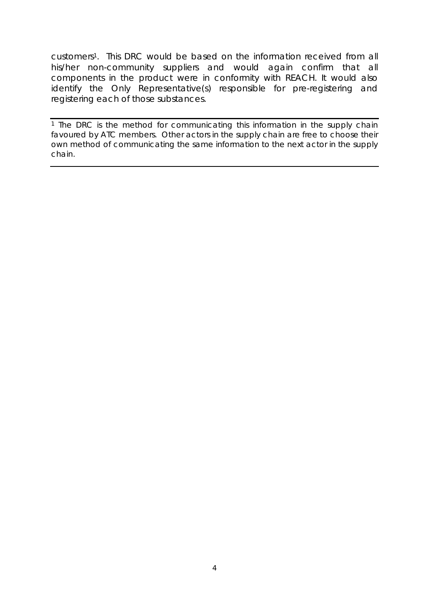customers1. This DRC would be based on the information received from all his/her non-community suppliers and would again confirm that all components in the product were in conformity with REACH. It would also identify the Only Representative(s) responsible for pre-registering and registering each of those substances.

<sup>1</sup> The DRC is the method for communicating this information in the supply chain favoured by ATC members. Other actors in the supply chain are free to choose their own method of communicating the same information to the next actor in the supply chain.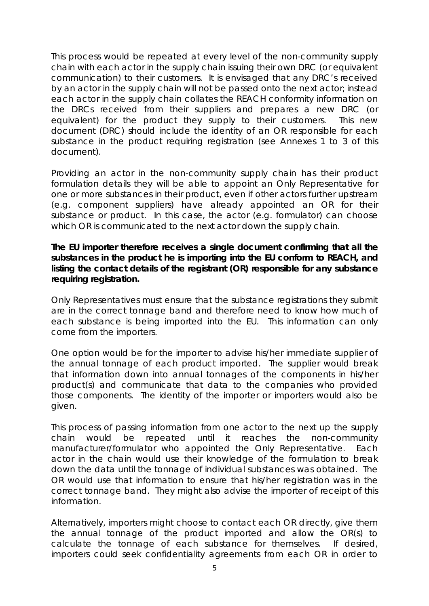This process would be repeated at every level of the non-community supply chain with each actor in the supply chain issuing their own DRC (or equivalent communication) to their customers. It is envisaged that any DRC's received by an actor in the supply chain will not be passed onto the next actor; instead each actor in the supply chain collates the REACH conformity information on the DRCs received from their suppliers and prepares a new DRC (or equivalent) for the product they supply to their customers. This new document (DRC) should include the identity of an OR responsible for each substance in the product requiring registration (see Annexes 1 to 3 of this document).

Providing an actor in the non-community supply chain has their product formulation details they will be able to appoint an Only Representative for one or more substances in their product, even if other actors further upstream (e.g. component suppliers) have already appointed an OR for their substance or product. In this case, the actor (e.g. formulator) can choose which OR is communicated to the next actor down the supply chain.

**The EU importer therefore receives a single document confirming that all the substances in the product he is importing into the EU conform to REACH, and listing the contact details of the registrant (OR) responsible for any substance requiring registration.**

Only Representatives must ensure that the substance registrations they submit are in the correct tonnage band and therefore need to know how much of each substance is being imported into the EU. This information can only come from the importers.

One option would be for the importer to advise his/her immediate supplier of the annual tonnage of each product imported. The supplier would break that information down into annual tonnages of the components in his/her product(s) and communicate that data to the companies who provided those components. The identity of the importer or importers would also be given.

This process of passing information from one actor to the next up the supply chain would be repeated until it reaches the non-community manufacturer/formulator who appointed the Only Representative. Each actor in the chain would use their knowledge of the formulation to break down the data until the tonnage of individual substances was obtained. The OR would use that information to ensure that his/her registration was in the correct tonnage band. They might also advise the importer of receipt of this information.

Alternatively, importers might choose to contact each OR directly, give them the annual tonnage of the product imported and allow the OR(s) to calculate the tonnage of each substance for themselves. If desired, importers could seek confidentiality agreements from each OR in order to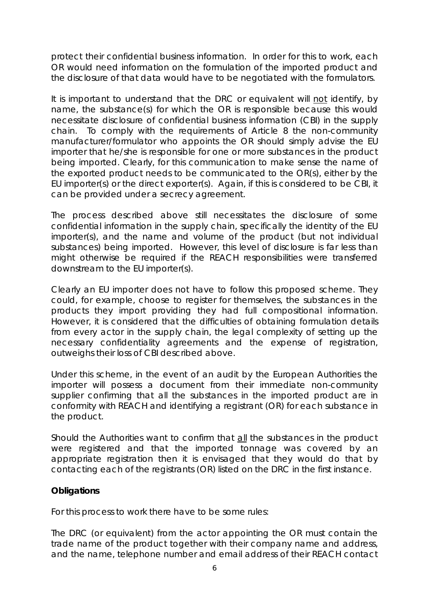protect their confidential business information. In order for this to work, each OR would need information on the formulation of the imported product and the disclosure of that data would have to be negotiated with the formulators.

It is important to understand that the DRC or equivalent will not identify, by name, the substance(s) for which the OR is responsible because this would necessitate disclosure of confidential business information (CBI) in the supply chain. To comply with the requirements of Article 8 the non-community manufacturer/formulator who appoints the OR should simply advise the EU importer that he/she is responsible for one or more substances in the product being imported. Clearly, for this communication to make sense the name of the exported product needs to be communicated to the OR(s), either by the EU importer(s) or the direct exporter(s). Again, if this is considered to be CBI, it can be provided under a secrecy agreement.

The process described above still necessitates the disclosure of some confidential information in the supply chain, specifically the identity of the EU importer(s), and the name and volume of the product (but not individual substances) being imported. However, this level of disclosure is far less than might otherwise be required if the REACH responsibilities were transferred downstream to the EU importer(s).

Clearly an EU importer does not have to follow this proposed scheme. They could, for example, choose to register for themselves, the substances in the products they import providing they had full compositional information. However, it is considered that the difficulties of obtaining formulation details from every actor in the supply chain, the legal complexity of setting up the necessary confidentiality agreements and the expense of registration, outweighs their loss of CBI described above.

Under this scheme, in the event of an audit by the European Authorities the importer will possess a document from their immediate non-community supplier confirming that all the substances in the imported product are in conformity with REACH and identifying a registrant (OR) for each substance in the product.

Should the Authorities want to confirm that all the substances in the product were registered and that the imported tonnage was covered by an appropriate registration then it is envisaged that they would do that by contacting each of the registrants (OR) listed on the DRC in the first instance.

## **Obligations**

For this process to work there have to be some rules:

The DRC (or equivalent) from the actor appointing the OR must contain the trade name of the product together with their company name and address, and the name, telephone number and email address of their REACH contact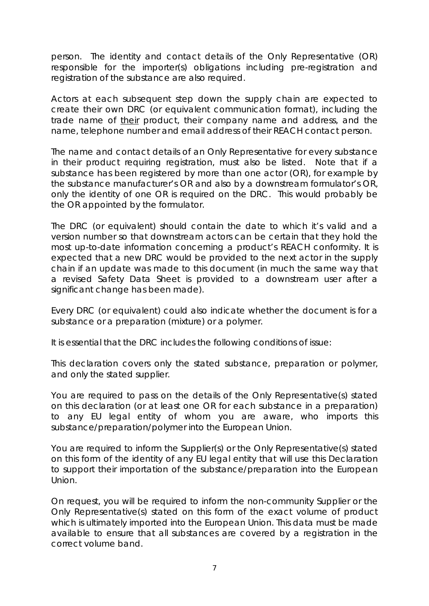person. The identity and contact details of the Only Representative (OR) responsible for the importer(s) obligations including pre-registration and registration of the substance are also required.

Actors at each subsequent step down the supply chain are expected to create their own DRC (or equivalent communication format), including the trade name of their product, their company name and address, and the name, telephone number and email address of their REACH contact person.

The name and contact details of an Only Representative for every substance in their product requiring registration, must also be listed. Note that if a substance has been registered by more than one actor (OR), for example by the substance manufacturer's OR and also by a downstream formulator's OR, only the identity of one OR is required on the DRC. This would probably be the OR appointed by the formulator.

The DRC (or equivalent) should contain the date to which it's valid and a version number so that downstream actors can be certain that they hold the most up-to-date information concerning a product's REACH conformity. It is expected that a new DRC would be provided to the next actor in the supply chain if an update was made to this document (in much the same way that a revised Safety Data Sheet is provided to a downstream user after a significant change has been made).

Every DRC (or equivalent) could also indicate whether the document is for a substance or a preparation (mixture) or a polymer.

It is essential that the DRC includes the following conditions of issue:

*This declaration covers only the stated substance, preparation or polymer, and only the stated supplier.* 

*You are required to pass on the details of the Only Representative(s) stated on this declaration (or at least one OR for each substance in a preparation) to any EU legal entity of whom you are aware, who imports this substance/preparation/polymer into the European Union.* 

*You are required to inform the Supplier(s) or the Only Representative(s) stated on this form of the identity of any EU legal entity that will use this Declaration to support their importation of the substance/preparation into the European Union.* 

*On request, you will be required to inform the non-community Supplier or the Only Representative(s) stated on this form of the exact volume of product which is ultimately imported into the European Union. This data must be made available to ensure that all substances are covered by a registration in the correct volume band.*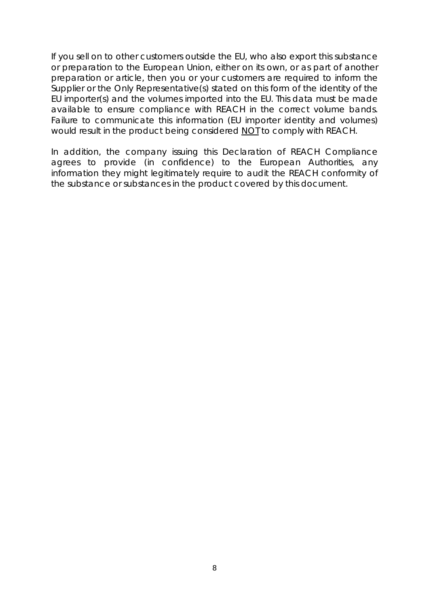*If you sell on to other customers outside the EU, who also export this substance or preparation to the European Union, either on its own, or as part of another preparation or article, then you or your customers are required to inform the Supplier or the Only Representative(s) stated on this form of the identity of the EU importer(s) and the volumes imported into the EU. This data must be made available to ensure compliance with REACH in the correct volume bands. Failure to communicate this information (EU importer identity and volumes) would result in the product being considered NOT to comply with REACH.* 

*In addition, the company issuing this Declaration of REACH Compliance agrees to provide (in confidence) to the European Authorities, any information they might legitimately require to audit the REACH conformity of the substance or substances in the product covered by this document.*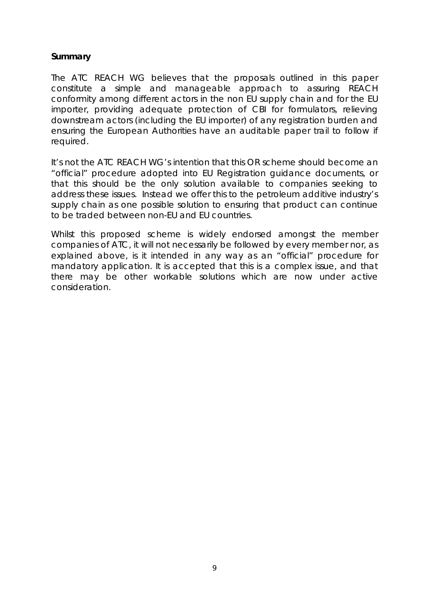## **Summary**

The ATC REACH WG believes that the proposals outlined in this paper constitute a simple and manageable approach to assuring REACH conformity among different actors in the non EU supply chain and for the EU importer, providing adequate protection of CBI for formulators, relieving downstream actors (including the EU importer) of any registration burden and ensuring the European Authorities have an auditable paper trail to follow if required.

It's not the ATC REACH WG's intention that this OR scheme should become an "official" procedure adopted into EU Registration guidance documents, or that this should be the only solution available to companies seeking to address these issues. Instead we offer this to the petroleum additive industry's supply chain as one possible solution to ensuring that product can continue to be traded between non-EU and EU countries.

Whilst this proposed scheme is widely endorsed amongst the member companies of ATC, it will not necessarily be followed by every member nor, as explained above, is it intended in any way as an "official" procedure for mandatory application. It is accepted that this is a complex issue, and that there may be other workable solutions which are now under active consideration.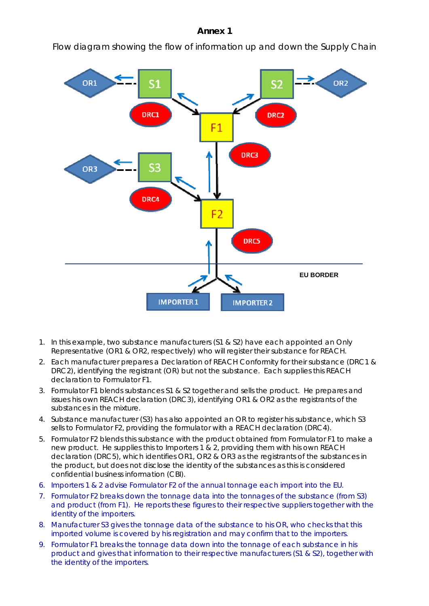### **Annex 1**

Flow diagram showing the flow of information up and down the Supply Chain



- 1. In this example, two substance manufacturers (S1 & S2) have each appointed an Only Representative (OR1 & OR2, respectively) who will register their substance for REACH.
- 2. Each manufacturer prepares a Declaration of REACH Conformity for their substance (DRC1 & DRC2), identifying the registrant (OR) but not the substance. Each supplies this REACH declaration to Formulator F1.
- 3. Formulator F1 blends substances S1 & S2 together and sells the product. He prepares and issues his own REACH declaration (DRC3), identifying OR1 & OR2 as the registrants of the substances in the mixture.
- 4. Substance manufacturer (S3) has also appointed an OR to register his substance, which S3 sells to Formulator F2, providing the formulator with a REACH declaration (DRC4).
- 5. Formulator F2 blends this substance with the product obtained from Formulator F1 to make a new product. He supplies this to Importers 1 & 2, providing them with his own REACH declaration (DRC5), which identifies OR1, OR2 & OR3 as the registrants of the substances in the product, but does not disclose the identity of the substances as this is considered confidential business information (CBI).
- 6. Importers 1 & 2 advise Formulator F2 of the annual tonnage each import into the EU.
- 7. Formulator F2 breaks down the tonnage data into the tonnages of the substance (from S3) and product (from F1). He reports these figures to their respective suppliers together with the identity of the importers.
- 8. Manufacturer S3 gives the tonnage data of the substance to his OR, who checks that this imported volume is covered by his registration and may confirm that to the importers.
- 9. Formulator F1 breaks the tonnage data down into the tonnage of each substance in his product and gives that information to their respective manufacturers (S1 & S2), together with the identity of the importers.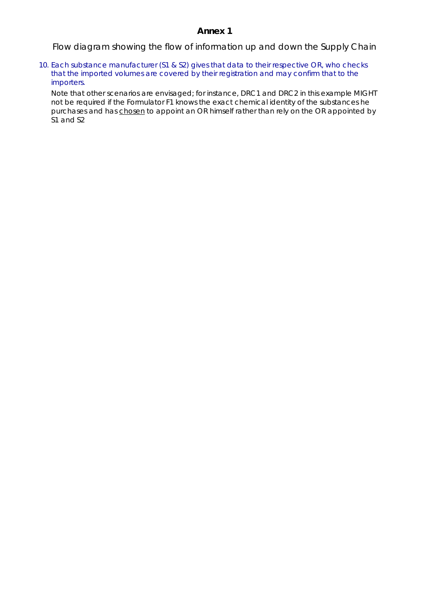### **Annex 1**

Flow diagram showing the flow of information up and down the Supply Chain

10. Each substance manufacturer (S1 & S2) gives that data to their respective OR, who checks that the imported volumes are covered by their registration and may confirm that to the importers.

Note that other scenarios are envisaged; for instance, DRC1 and DRC2 in this example MIGHT not be required if the Formulator F1 knows the exact chemical identity of the substances he purchases and has chosen to appoint an OR himself rather than rely on the OR appointed by S1 and S2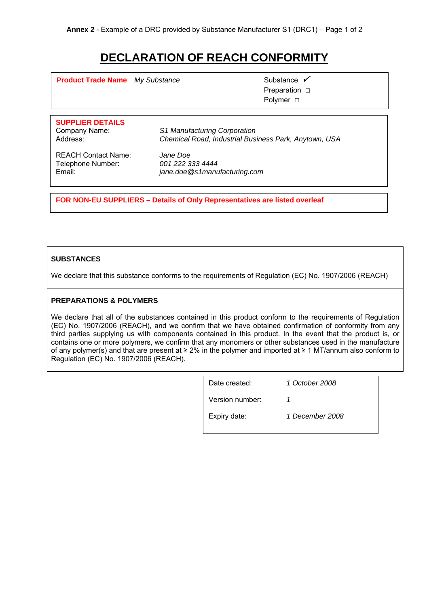# **DECLARATION OF REACH CONFORMITY**

**Product Trade Name** My Substance **3 Aproduct Trade Name** 3 Aproximate 3 Aproximate 3 Substance 3 Aproximate

 Preparation □ Polymer □

# **SUPPLIER DETAILS**

Company Name: *S1 Manufacturing Corporation*  Address: *Chemical Road, Industrial Business Park, Anytown, USA* 

REACH Contact Name: *Jane Doe* Telephone Number: *001 222 333 4444*

Email: *jane.doe@s1manufacturing.com*

**FOR NON-EU SUPPLIERS – Details of Only Representatives are listed overleaf** 

### **SUBSTANCES**

We declare that this substance conforms to the requirements of Regulation (EC) No. 1907/2006 (REACH)

### **PREPARATIONS & POLYMERS**

We declare that all of the substances contained in this product conform to the requirements of Regulation (EC) No. 1907/2006 (REACH), and we confirm that we have obtained confirmation of conformity from any third parties supplying us with components contained in this product. In the event that the product is, or contains one or more polymers, we confirm that any monomers or other substances used in the manufacture of any polymer(s) and that are present at ≥ 2% in the polymer and imported at ≥ 1 MT/annum also conform to Regulation (EC) No. 1907/2006 (REACH).

| Date created:   | 1 October 2008  |
|-----------------|-----------------|
| Version number: |                 |
| Expiry date:    | 1 December 2008 |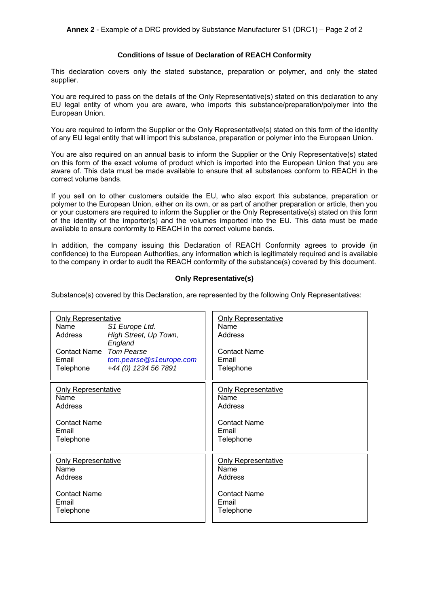#### **Conditions of Issue of Declaration of REACH Conformity**

This declaration covers only the stated substance, preparation or polymer, and only the stated supplier.

You are required to pass on the details of the Only Representative(s) stated on this declaration to any EU legal entity of whom you are aware, who imports this substance/preparation/polymer into the European Union.

You are required to inform the Supplier or the Only Representative(s) stated on this form of the identity of any EU legal entity that will import this substance, preparation or polymer into the European Union.

You are also required on an annual basis to inform the Supplier or the Only Representative(s) stated on this form of the exact volume of product which is imported into the European Union that you are aware of. This data must be made available to ensure that all substances conform to REACH in the correct volume bands.

If you sell on to other customers outside the EU, who also export this substance, preparation or polymer to the European Union, either on its own, or as part of another preparation or article, then you or your customers are required to inform the Supplier or the Only Representative(s) stated on this form of the identity of the importer(s) and the volumes imported into the EU. This data must be made available to ensure conformity to REACH in the correct volume bands.

In addition, the company issuing this Declaration of REACH Conformity agrees to provide (in confidence) to the European Authorities, any information which is legitimately required and is available to the company in order to audit the REACH conformity of the substance(s) covered by this document.

#### **Only Representative(s)**

Substance(s) covered by this Declaration, are represented by the following Only Representatives:

| <b>Only Representative</b><br>Name<br>S1 Europe Ltd.<br>High Street, Up Town,<br>Address<br>England<br>Contact Name Tom Pearse<br>tom.pearse@s1europe.com<br>Email<br>+44 (0) 1234 56 7891<br>Telephone | <b>Only Representative</b><br>Name<br>Address<br><b>Contact Name</b><br>Email<br>Telephone |
|---------------------------------------------------------------------------------------------------------------------------------------------------------------------------------------------------------|--------------------------------------------------------------------------------------------|
| <b>Only Representative</b>                                                                                                                                                                              | <b>Only Representative</b>                                                                 |
| Name                                                                                                                                                                                                    | Name                                                                                       |
| Address                                                                                                                                                                                                 | Address                                                                                    |
| <b>Contact Name</b>                                                                                                                                                                                     | <b>Contact Name</b>                                                                        |
| Email                                                                                                                                                                                                   | Email                                                                                      |
| Telephone                                                                                                                                                                                               | Telephone                                                                                  |
| <b>Only Representative</b>                                                                                                                                                                              | <b>Only Representative</b>                                                                 |
| Name                                                                                                                                                                                                    | Name                                                                                       |
| Address                                                                                                                                                                                                 | Address                                                                                    |
| <b>Contact Name</b>                                                                                                                                                                                     | <b>Contact Name</b>                                                                        |
| Email                                                                                                                                                                                                   | Email                                                                                      |
| Telephone                                                                                                                                                                                               | Telephone                                                                                  |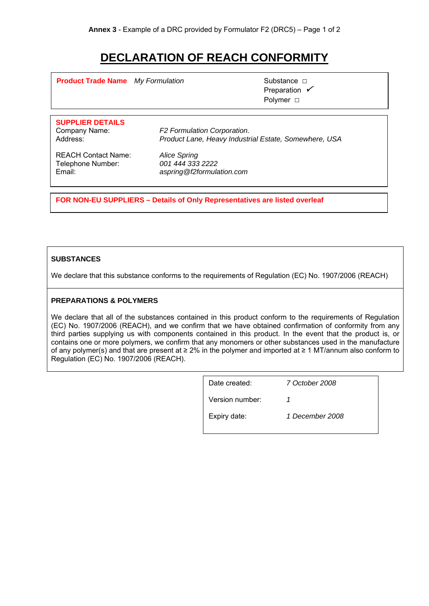# **DECLARATION OF REACH CONFORMITY**

**Product Trade Name** *My Formulation* Substance □

Preparation  $\checkmark$ Polymer □

# **SUPPLIER DETAILS**

Company Name: *F2 Formulation Corporation.*  Address: *Product Lane, Heavy Industrial Estate, Somewhere, USA* 

REACH Contact Name: *Alice Spring* Telephone Number: *001 444 333 2222*

Email: *aspring@f2formulation.com*

**FOR NON-EU SUPPLIERS – Details of Only Representatives are listed overleaf** 

### **SUBSTANCES**

We declare that this substance conforms to the requirements of Regulation (EC) No. 1907/2006 (REACH)

### **PREPARATIONS & POLYMERS**

We declare that all of the substances contained in this product conform to the requirements of Regulation (EC) No. 1907/2006 (REACH), and we confirm that we have obtained confirmation of conformity from any third parties supplying us with components contained in this product. In the event that the product is, or contains one or more polymers, we confirm that any monomers or other substances used in the manufacture of any polymer(s) and that are present at ≥ 2% in the polymer and imported at ≥ 1 MT/annum also conform to Regulation (EC) No. 1907/2006 (REACH).

| Date created:   | 7 October 2008  |
|-----------------|-----------------|
| Version number: |                 |
| Expiry date:    | 1 December 2008 |